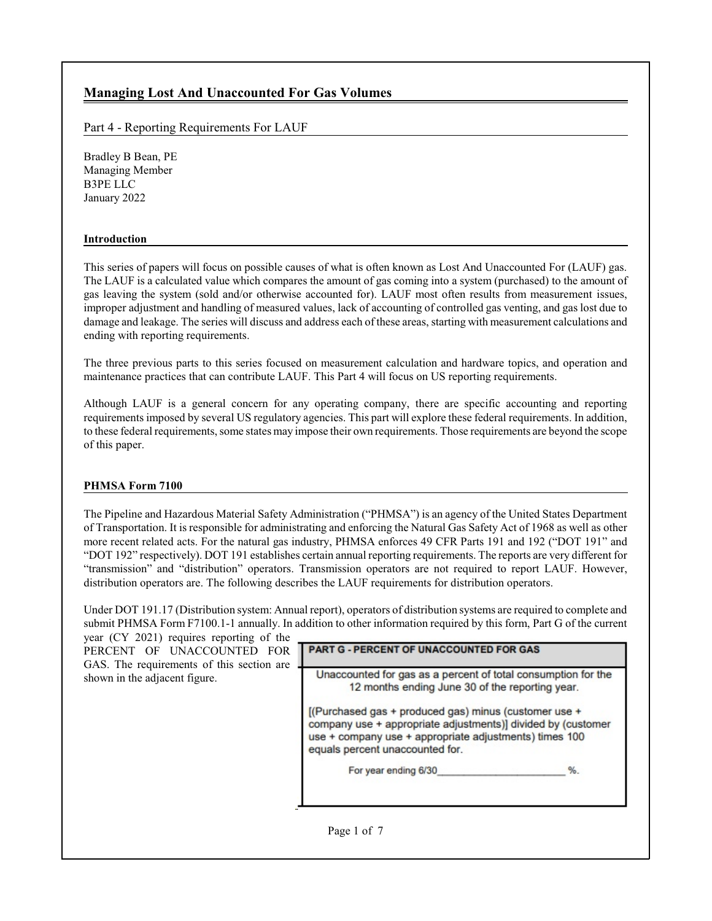# **Managing Lost And Unaccounted For Gas Volumes**

## Part 4 - Reporting Requirements For LAUF

Bradley B Bean, PE Managing Member B3PE LLC January 2022

### **Introduction**

This series of papers will focus on possible causes of what is often known as Lost And Unaccounted For (LAUF) gas. The LAUF is a calculated value which compares the amount of gas coming into a system (purchased) to the amount of gas leaving the system (sold and/or otherwise accounted for). LAUF most often results from measurement issues, improper adjustment and handling of measured values, lack of accounting of controlled gas venting, and gas lost due to damage and leakage. The series will discuss and address each of these areas, starting with measurement calculations and ending with reporting requirements.

The three previous parts to this series focused on measurement calculation and hardware topics, and operation and maintenance practices that can contribute LAUF. This Part 4 will focus on US reporting requirements.

Although LAUF is a general concern for any operating company, there are specific accounting and reporting requirements imposed by several US regulatory agencies. This part will explore these federal requirements. In addition, to these federal requirements, some states may impose their own requirements. Those requirements are beyond the scope of this paper.

## **PHMSA Form 7100**

The Pipeline and Hazardous Material Safety Administration ("PHMSA") is an agency of the United States Department of Transportation. It is responsible for administrating and enforcing the Natural Gas Safety Act of 1968 as well as other more recent related acts. For the natural gas industry, PHMSA enforces 49 CFR Parts 191 and 192 ("DOT 191" and "DOT 192" respectively). DOT 191 establishes certain annual reporting requirements. The reports are very different for "transmission" and "distribution" operators. Transmission operators are not required to report LAUF. However, distribution operators are. The following describes the LAUF requirements for distribution operators.

Under DOT 191.17 (Distribution system: Annual report), operators of distribution systems are required to complete and submit PHMSA Form F7100.1-1 annually. In addition to other information required by this form, Part G of the current year (CY 2021) requires reporting of the

| [(Purchased gas + produced gas) minus (customer use +                                                                                                     |
|-----------------------------------------------------------------------------------------------------------------------------------------------------------|
| company use + appropriate adjustments)] divided by (customer<br>use + company use + appropriate adjustments) times 100<br>equals percent unaccounted for. |
| %.<br>For year ending 6/30                                                                                                                                |
|                                                                                                                                                           |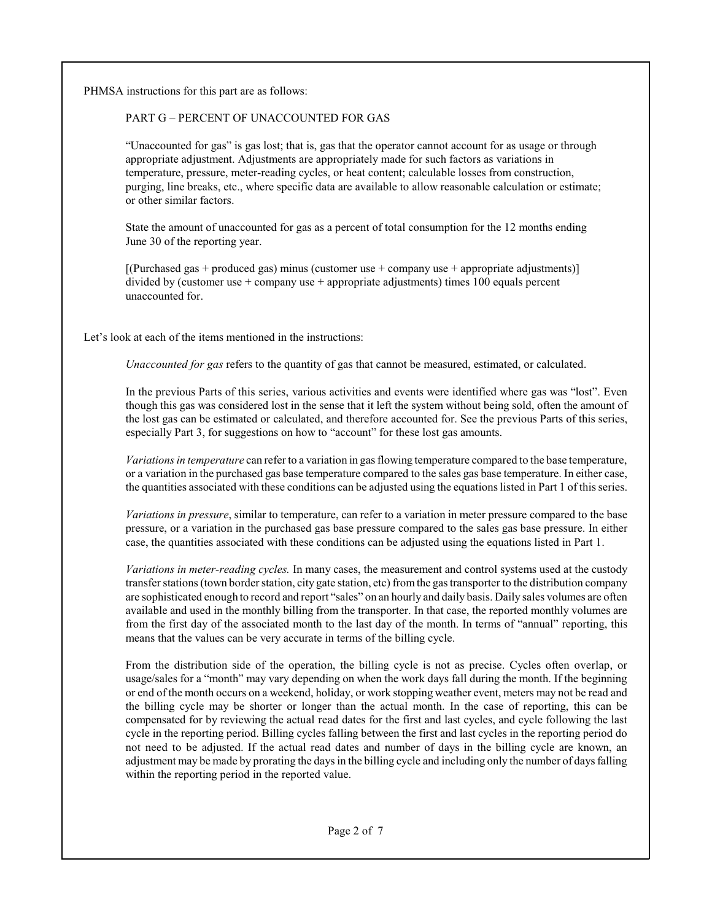PHMSA instructions for this part are as follows:

## PART G – PERCENT OF UNACCOUNTED FOR GAS

"Unaccounted for gas" is gas lost; that is, gas that the operator cannot account for as usage or through appropriate adjustment. Adjustments are appropriately made for such factors as variations in temperature, pressure, meter-reading cycles, or heat content; calculable losses from construction, purging, line breaks, etc., where specific data are available to allow reasonable calculation or estimate; or other similar factors.

State the amount of unaccounted for gas as a percent of total consumption for the 12 months ending June 30 of the reporting year.

 $[$ (Purchased gas + produced gas) minus (customer use + company use + appropriate adjustments)] divided by (customer use + company use + appropriate adjustments) times 100 equals percent unaccounted for.

Let's look at each of the items mentioned in the instructions:

*Unaccounted for gas* refers to the quantity of gas that cannot be measured, estimated, or calculated.

In the previous Parts of this series, various activities and events were identified where gas was "lost". Even though this gas was considered lost in the sense that it left the system without being sold, often the amount of the lost gas can be estimated or calculated, and therefore accounted for. See the previous Parts of this series, especially Part 3, for suggestions on how to "account" for these lost gas amounts.

*Variations in temperature* can refer to a variation in gas flowing temperature compared to the base temperature, or a variation in the purchased gas base temperature compared to the sales gas base temperature. In either case, the quantities associated with these conditions can be adjusted using the equations listed in Part 1 of this series.

*Variations in pressure*, similar to temperature, can refer to a variation in meter pressure compared to the base pressure, or a variation in the purchased gas base pressure compared to the sales gas base pressure. In either case, the quantities associated with these conditions can be adjusted using the equations listed in Part 1.

*Variations in meter-reading cycles.* In many cases, the measurement and control systems used at the custody transfer stations (town border station, city gate station, etc) fromthe gas transporter to the distribution company are sophisticated enough to record and report "sales" on an hourly and daily basis. Daily sales volumes are often available and used in the monthly billing from the transporter. In that case, the reported monthly volumes are from the first day of the associated month to the last day of the month. In terms of "annual" reporting, this means that the values can be very accurate in terms of the billing cycle.

From the distribution side of the operation, the billing cycle is not as precise. Cycles often overlap, or usage/sales for a "month" may vary depending on when the work days fall during the month. If the beginning or end of the month occurs on a weekend, holiday, or work stopping weather event, meters may not be read and the billing cycle may be shorter or longer than the actual month. In the case of reporting, this can be compensated for by reviewing the actual read dates for the first and last cycles, and cycle following the last cycle in the reporting period. Billing cycles falling between the first and last cycles in the reporting period do not need to be adjusted. If the actual read dates and number of days in the billing cycle are known, an adjustment may be made by prorating the days in the billing cycle and including only the number of days falling within the reporting period in the reported value.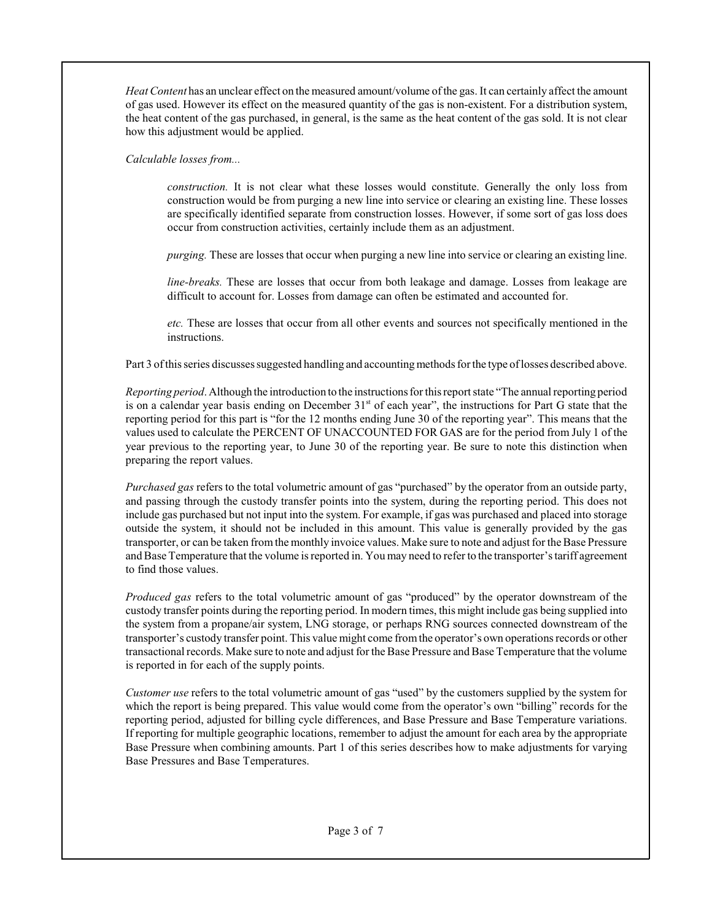*Heat Content* has an unclear effect on the measured amount/volume ofthe gas. It can certainly affect the amount of gas used. However its effect on the measured quantity of the gas is non-existent. For a distribution system, the heat content of the gas purchased, in general, is the same as the heat content of the gas sold. It is not clear how this adjustment would be applied.

*Calculable losses from...*

*construction.* It is not clear what these losses would constitute. Generally the only loss from construction would be from purging a new line into service or clearing an existing line. These losses are specifically identified separate from construction losses. However, if some sort of gas loss does occur from construction activities, certainly include them as an adjustment.

*purging.* These are losses that occur when purging a new line into service or clearing an existing line.

*line-breaks.* These are losses that occur from both leakage and damage. Losses from leakage are difficult to account for. Losses from damage can often be estimated and accounted for.

*etc.* These are losses that occur from all other events and sources not specifically mentioned in the instructions.

Part 3 of this series discusses suggested handling and accounting methods for the type of losses described above.

*Reporting period*. Although the introduction to the instructions for this report state "The annual reporting period is on a calendar year basis ending on December 31<sup>st</sup> of each year", the instructions for Part G state that the reporting period for this part is "for the 12 months ending June 30 of the reporting year". This means that the values used to calculate the PERCENT OF UNACCOUNTED FOR GAS are for the period from July 1 of the year previous to the reporting year, to June 30 of the reporting year. Be sure to note this distinction when preparing the report values.

*Purchased gas* refers to the total volumetric amount of gas "purchased" by the operator from an outside party, and passing through the custody transfer points into the system, during the reporting period. This does not include gas purchased but not input into the system. For example, if gas was purchased and placed into storage outside the system, it should not be included in this amount. This value is generally provided by the gas transporter, or can be taken fromthe monthly invoice values. Make sure to note and adjust for the Base Pressure and Base Temperature that the volume is reported in. You may need to refer to the transporter's tariff agreement to find those values.

*Produced gas* refers to the total volumetric amount of gas "produced" by the operator downstream of the custody transfer points during the reporting period. In modern times, this might include gas being supplied into the system from a propane/air system, LNG storage, or perhaps RNG sources connected downstream of the transporter's custody transfer point. This value might come fromthe operator's own operationsrecords or other transactional records. Make sure to note and adjust for the Base Pressure and Base Temperature that the volume is reported in for each of the supply points.

*Customer use* refers to the total volumetric amount of gas "used" by the customers supplied by the system for which the report is being prepared. This value would come from the operator's own "billing" records for the reporting period, adjusted for billing cycle differences, and Base Pressure and Base Temperature variations. If reporting for multiple geographic locations, remember to adjust the amount for each area by the appropriate Base Pressure when combining amounts. Part 1 of this series describes how to make adjustments for varying Base Pressures and Base Temperatures.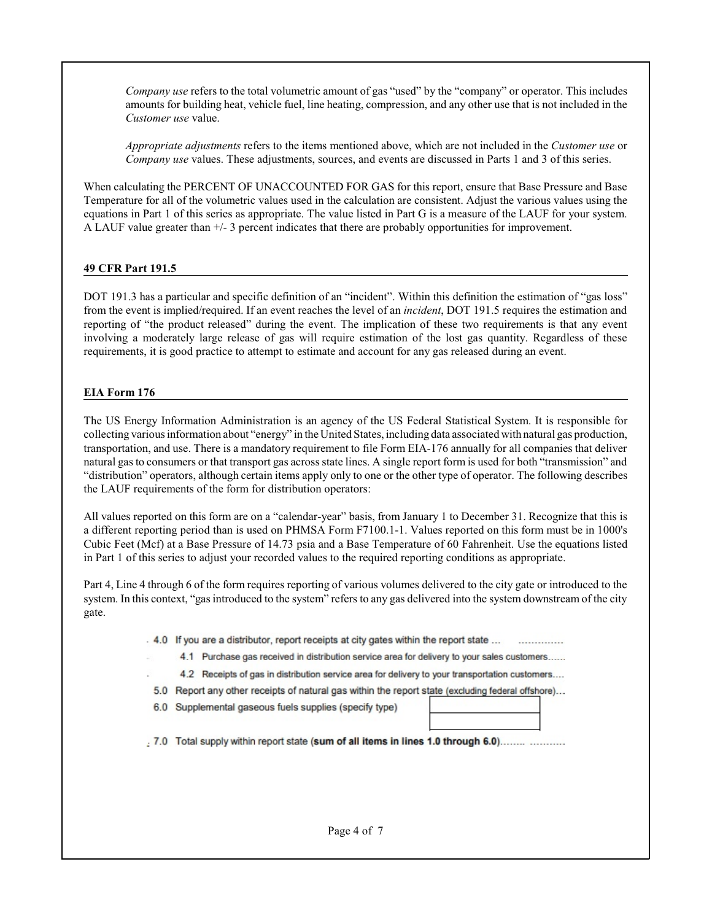*Company use* refers to the total volumetric amount of gas "used" by the "company" or operator. This includes amounts for building heat, vehicle fuel, line heating, compression, and any other use that is not included in the *Customer use* value.

*Appropriate adjustments* refers to the items mentioned above, which are not included in the *Customer use* or *Company use* values. These adjustments, sources, and events are discussed in Parts 1 and 3 of this series.

When calculating the PERCENT OF UNACCOUNTED FOR GAS for this report, ensure that Base Pressure and Base Temperature for all of the volumetric values used in the calculation are consistent. Adjust the various values using the equations in Part 1 of this series as appropriate. The value listed in Part G is a measure of the LAUF for your system. A LAUF value greater than +/- 3 percent indicates that there are probably opportunities for improvement.

## **49 CFR Part 191.5**

DOT 191.3 has a particular and specific definition of an "incident". Within this definition the estimation of "gas loss" from the event is implied/required. If an event reaches the level of an *incident*, DOT 191.5 requires the estimation and reporting of "the product released" during the event. The implication of these two requirements is that any event involving a moderately large release of gas will require estimation of the lost gas quantity. Regardless of these requirements, it is good practice to attempt to estimate and account for any gas released during an event.

## **EIA Form 176**

The US Energy Information Administration is an agency of the US Federal Statistical System. It is responsible for collecting various information about "energy" in the United States, including data associated with natural gas production, transportation, and use. There is a mandatory requirement to file Form EIA-176 annually for all companies that deliver natural gas to consumers or that transport gas across state lines. A single report form is used for both "transmission" and "distribution" operators, although certain items apply only to one or the other type of operator. The following describes the LAUF requirements of the form for distribution operators:

All values reported on this form are on a "calendar-year" basis, from January 1 to December 31. Recognize that this is a different reporting period than is used on PHMSA Form F7100.1-1. Values reported on this form must be in 1000's Cubic Feet (Mcf) at a Base Pressure of 14.73 psia and a Base Temperature of 60 Fahrenheit. Use the equations listed in Part 1 of this series to adjust your recorded values to the required reporting conditions as appropriate.

Part 4, Line 4 through 6 of the form requires reporting of various volumes delivered to the city gate or introduced to the system. In this context, "gas introduced to the system" refers to any gas delivered into the system downstream of the city gate.

. 4.0 If you are a distributor, report receipts at city gates within the report state ...

4.1 Purchase gas received in distribution service area for delivery to your sales customers......

4.2 Receipts of gas in distribution service area for delivery to your transportation customers....

5.0 Report any other receipts of natural gas within the report state (excluding federal offshore)...

6.0 Supplemental gaseous fuels supplies (specify type)

.7.0 Total supply within report state (sum of all items in lines 1.0 through 6.0)........ ...........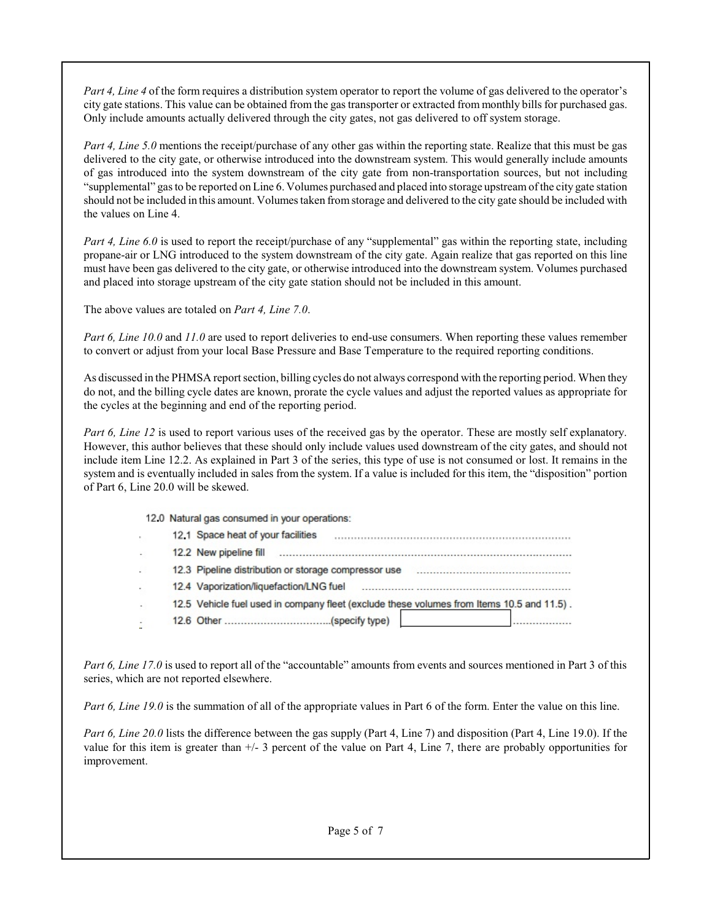*Part 4, Line 4* of the form requires a distribution system operator to report the volume of gas delivered to the operator's city gate stations. This value can be obtained from the gas transporter or extracted from monthly bills for purchased gas. Only include amounts actually delivered through the city gates, not gas delivered to off system storage.

*Part 4, Line 5.0* mentions the receipt/purchase of any other gas within the reporting state. Realize that this must be gas delivered to the city gate, or otherwise introduced into the downstream system. This would generally include amounts of gas introduced into the system downstream of the city gate from non-transportation sources, but not including "supplemental" gas to be reported on Line 6. Volumes purchased and placed into storage upstreamofthe city gate station should not be included in this amount. Volumes taken fromstorage and delivered to the city gate should be included with the values on Line 4.

*Part 4, Line 6.0* is used to report the receipt/purchase of any "supplemental" gas within the reporting state, including propane-air or LNG introduced to the system downstream of the city gate. Again realize that gas reported on this line must have been gas delivered to the city gate, or otherwise introduced into the downstream system. Volumes purchased and placed into storage upstream of the city gate station should not be included in this amount.

The above values are totaled on *Part 4, Line 7.0*.

*Part 6, Line 10.0* and *11.0* are used to report deliveries to end-use consumers. When reporting these values remember to convert or adjust from your local Base Pressure and Base Temperature to the required reporting conditions.

As discussed in the PHMSA report section, billing cycles do not always correspond with the reporting period. When they do not, and the billing cycle dates are known, prorate the cycle values and adjust the reported values as appropriate for the cycles at the beginning and end of the reporting period.

*Part 6, Line 12* is used to report various uses of the received gas by the operator. These are mostly self explanatory. However, this author believes that these should only include values used downstream of the city gates, and should not include item Line 12.2. As explained in Part 3 of the series, this type of use is not consumed or lost. It remains in the system and is eventually included in sales from the system. If a value is included for this item, the "disposition" portion of Part 6, Line 20.0 will be skewed.

|  | 12.0 Natural gas consumed in your operations:                                             |
|--|-------------------------------------------------------------------------------------------|
|  | 12.1 Space heat of your facilities                                                        |
|  | 12.2 New pipeline fill                                                                    |
|  | 12.3 Pipeline distribution or storage compressor use                                      |
|  | 12.4 Vaporization/liquefaction/LNG fuel                                                   |
|  | 12.5 Vehicle fuel used in company fleet (exclude these volumes from Items 10.5 and 11.5). |
|  |                                                                                           |

*Part 6, Line 17.0* is used to report all of the "accountable" amounts from events and sources mentioned in Part 3 of this series, which are not reported elsewhere.

*Part 6, Line 19.0* is the summation of all of the appropriate values in Part 6 of the form. Enter the value on this line.

*Part 6, Line 20.0* lists the difference between the gas supply (Part 4, Line 7) and disposition (Part 4, Line 19.0). If the value for this item is greater than +/- 3 percent of the value on Part 4, Line 7, there are probably opportunities for improvement.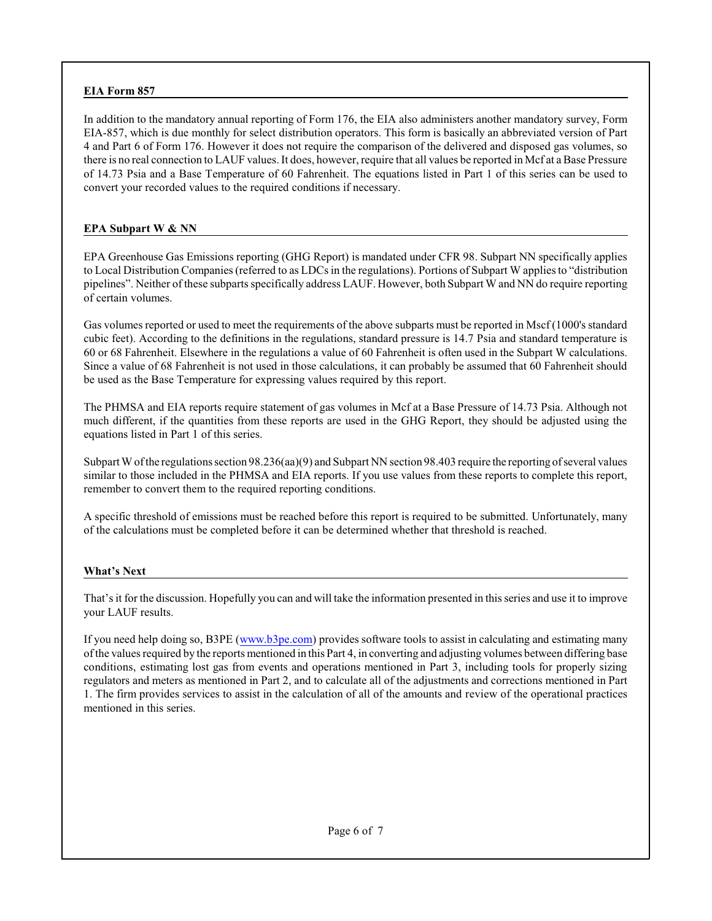## **EIA Form 857**

In addition to the mandatory annual reporting of Form 176, the EIA also administers another mandatory survey, Form EIA-857, which is due monthly for select distribution operators. This form is basically an abbreviated version of Part 4 and Part 6 of Form 176. However it does not require the comparison of the delivered and disposed gas volumes, so there is no real connection to LAUF values. It does, however, require that all values be reported in Mcf at a Base Pressure of 14.73 Psia and a Base Temperature of 60 Fahrenheit. The equations listed in Part 1 of this series can be used to convert your recorded values to the required conditions if necessary.

### **EPA Subpart W & NN**

EPA Greenhouse Gas Emissions reporting (GHG Report) is mandated under CFR 98. Subpart NN specifically applies to Local Distribution Companies (referred to as LDCs in the regulations). Portions of Subpart W applies to "distribution pipelines". Neither of these subparts specifically address LAUF. However, both Subpart W and NN do require reporting of certain volumes.

Gas volumes reported or used to meet the requirements of the above subparts must be reported in Mscf (1000's standard cubic feet). According to the definitions in the regulations, standard pressure is 14.7 Psia and standard temperature is 60 or 68 Fahrenheit. Elsewhere in the regulations a value of 60 Fahrenheit is often used in the Subpart W calculations. Since a value of 68 Fahrenheit is not used in those calculations, it can probably be assumed that 60 Fahrenheit should be used as the Base Temperature for expressing values required by this report.

The PHMSA and EIA reports require statement of gas volumes in Mcf at a Base Pressure of 14.73 Psia. Although not much different, if the quantities from these reports are used in the GHG Report, they should be adjusted using the equations listed in Part 1 of this series.

Subpart Wofthe regulations section 98.236(aa)(9) and Subpart NN section 98.403 require the reporting ofseveral values similar to those included in the PHMSA and EIA reports. If you use values from these reports to complete this report, remember to convert them to the required reporting conditions.

A specific threshold of emissions must be reached before this report is required to be submitted. Unfortunately, many of the calculations must be completed before it can be determined whether that threshold is reached.

## **What's Next**

That's it for the discussion. Hopefully you can and will take the information presented in this series and use it to improve your LAUF results.

If you need help doing so, B3PE ([www.b3pe.com](http://www.b3pe.com))) provides software tools to assist in calculating and estimating many ofthe values required by the reports mentioned in this Part 4, in converting and adjusting volumes between differing base conditions, estimating lost gas from events and operations mentioned in Part 3, including tools for properly sizing regulators and meters as mentioned in Part 2, and to calculate all of the adjustments and corrections mentioned in Part 1. The firm provides services to assist in the calculation of all of the amounts and review of the operational practices mentioned in this series.